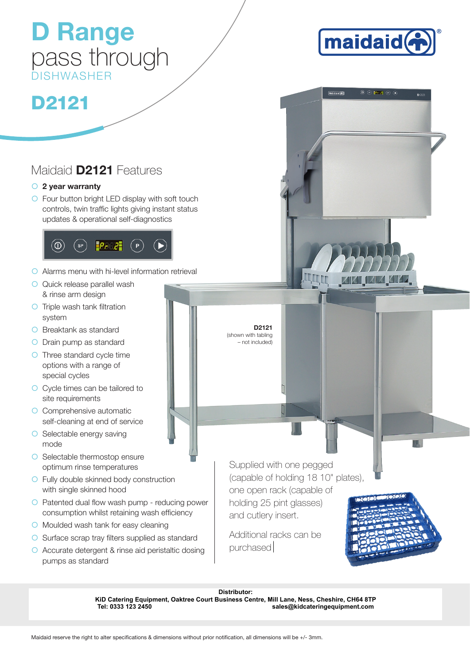## pass through DISHWASHER

D Range

# D2121

#### Maidaid D2121 Features

#### $\circ$  2 year warranty

 $\circ$  Four button bright LED display with soft touch controls, twin traffic lights giving instant status updates & operational self-diagnostics



- $\circ$  Alarms menu with hi-level information retrieval
- **O** Quick release parallel wash & rinse arm design
- $\circ$  Triple wash tank filtration system
- **O** Breaktank as standard
- O Drain pump as standard
- { Three standard cycle time options with a range of special cycles
- { Cycle times can be tailored to site requirements
- $\circ$  Comprehensive automatic self-cleaning at end of service
- $\circ$  Selectable energy saving mode
- **O** Selectable thermostop ensure optimum rinse temperatures
- **O** Fully double skinned body construction with single skinned hood
- $\circ$  Patented dual flow wash pump reducing power consumption whilst retaining wash efficiency
- **O** Moulded wash tank for easy cleaning
- $\bigcirc$  Surface scrap trav filters supplied as standard
- { Accurate detergent & rinse aid peristaltic dosing pumps as standard

Supplied with one pegged (capable of holding 18 10" plates),

one open rack (capable of holding 25 pint glasses) and cutlery insert.

D2121 (shown with tabling – not included)

Additional racks can be purchased





 $\circledcirc$   $\circledcirc$   $\circledcirc$ 

 $D2121$